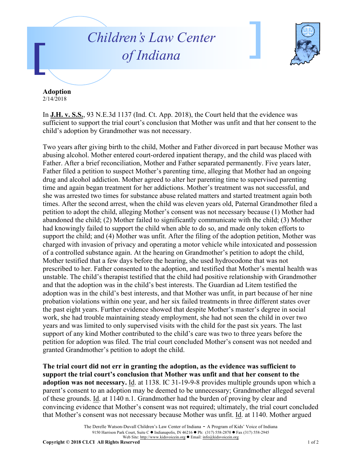## *Children's Law Center of Indiana*



**Adoption** 2/14/2018

In **J.H. v. S.S.**, 93 N.E.3d 1137 (Ind. Ct. App. 2018), the Court held that the evidence was sufficient to support the trial court's conclusion that Mother was unfit and that her consent to the child's adoption by Grandmother was not necessary.

Two years after giving birth to the child, Mother and Father divorced in part because Mother was abusing alcohol. Mother entered court-ordered inpatient therapy, and the child was placed with Father. After a brief reconciliation, Mother and Father separated permanently. Five years later, Father filed a petition to suspect Mother's parenting time, alleging that Mother had an ongoing drug and alcohol addiction. Mother agreed to alter her parenting time to supervised parenting time and again began treatment for her addictions. Mother's treatment was not successful, and she was arrested two times for substance abuse related matters and started treatment again both times. After the second arrest, when the child was eleven years old, Paternal Grandmother filed a petition to adopt the child, alleging Mother's consent was not necessary because (1) Mother had abandoned the child; (2) Mother failed to significantly communicate with the child; (3) Mother had knowingly failed to support the child when able to do so, and made only token efforts to support the child; and (4) Mother was unfit. After the filing of the adoption petition, Mother was charged with invasion of privacy and operating a motor vehicle while intoxicated and possession of a controlled substance again. At the hearing on Grandmother's petition to adopt the child, Mother testified that a few days before the hearing, she used hydrocodone that was not prescribed to her. Father consented to the adoption, and testified that Mother's mental health was unstable. The child's therapist testified that the child had positive relationship with Grandmother and that the adoption was in the child's best interests. The Guardian ad Litem testified the adoption was in the child's best interests, and that Mother was unfit, in part because of her nine probation violations within one year, and her six failed treatments in three different states over the past eight years. Further evidence showed that despite Mother's master's degree in social work, she had trouble maintaining steady employment, she had not seen the child in over two years and was limited to only supervised visits with the child for the past six years. The last support of any kind Mother contributed to the child's care was two to three years before the petition for adoption was filed. The trial court concluded Mother's consent was not needed and granted Grandmother's petition to adopt the child.

**The trial court did not err in granting the adoption, as the evidence was sufficient to support the trial court's conclusion that Mother was unfit and that her consent to the adoption was not necessary.** Id. at 1138. IC 31-19-9-8 provides multiple grounds upon which a parent's consent to an adoption may be deemed to be unnecessary; Grandmother alleged several of these grounds. Id. at 1140 n.1. Grandmother had the burden of proving by clear and convincing evidence that Mother's consent was not required; ultimately, the trial court concluded that Mother's consent was not necessary because Mother was unfit. Id. at 1140. Mother argued